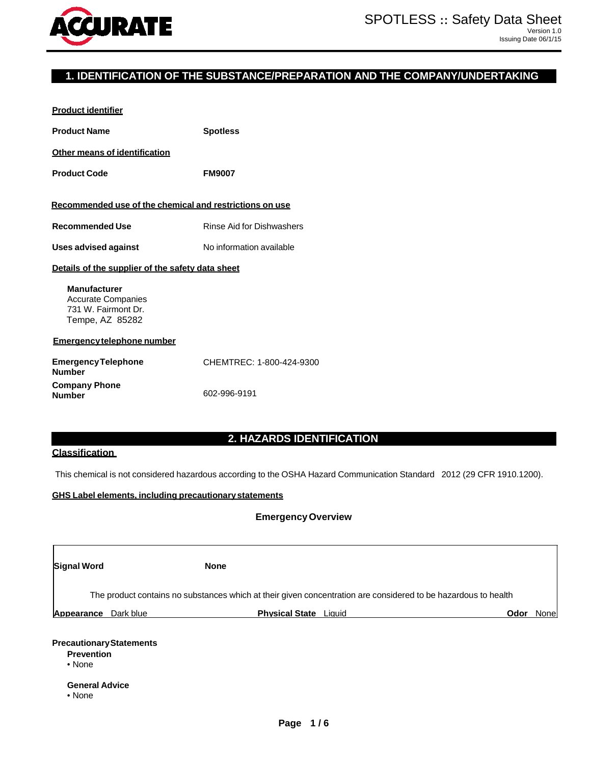

# **1. IDENTIFICATION OF THE SUBSTANCE/PREPARATION AND THE COMPANY/UNDERTAKING**

| <b>Product identifier</b>                                                                  |                           |  |  |  |
|--------------------------------------------------------------------------------------------|---------------------------|--|--|--|
| <b>Product Name</b>                                                                        | <b>Spotless</b>           |  |  |  |
| <b>Other means of identification</b>                                                       |                           |  |  |  |
| <b>Product Code</b>                                                                        | <b>FM9007</b>             |  |  |  |
| Recommended use of the chemical and restrictions on use                                    |                           |  |  |  |
| <b>Recommended Use</b>                                                                     | Rinse Aid for Dishwashers |  |  |  |
| <b>Uses advised against</b>                                                                | No information available  |  |  |  |
| Details of the supplier of the safety data sheet                                           |                           |  |  |  |
| <b>Manufacturer</b><br><b>Accurate Companies</b><br>731 W. Fairmont Dr.<br>Tempe, AZ 85282 |                           |  |  |  |
| Emergency telephone number                                                                 |                           |  |  |  |
|                                                                                            |                           |  |  |  |
| <b>Emergency Telephone</b><br><b>Number</b>                                                | CHEMTREC: 1-800-424-9300  |  |  |  |

# **2. HAZARDS IDENTIFICATION**

# **Classification**

This chemical is not considered hazardous according to the OSHA Hazard Communication Standard 2012 (29 CFR 1910.1200).

## **GHS Label elements, including precautionarystatements**

## **EmergencyOverview**

| <b>Signal Word</b>                                                                      |           | <b>None</b>           |                                                                                                                |      |       |
|-----------------------------------------------------------------------------------------|-----------|-----------------------|----------------------------------------------------------------------------------------------------------------|------|-------|
|                                                                                         |           |                       | The product contains no substances which at their given concentration are considered to be hazardous to health |      |       |
| Appearance                                                                              | Dark blue | <b>Physical State</b> | Liauid                                                                                                         | Odor | Nonel |
| <b>Precautionary Statements</b><br><b>Prevention</b><br>• None<br><b>General Advice</b> |           |                       |                                                                                                                |      |       |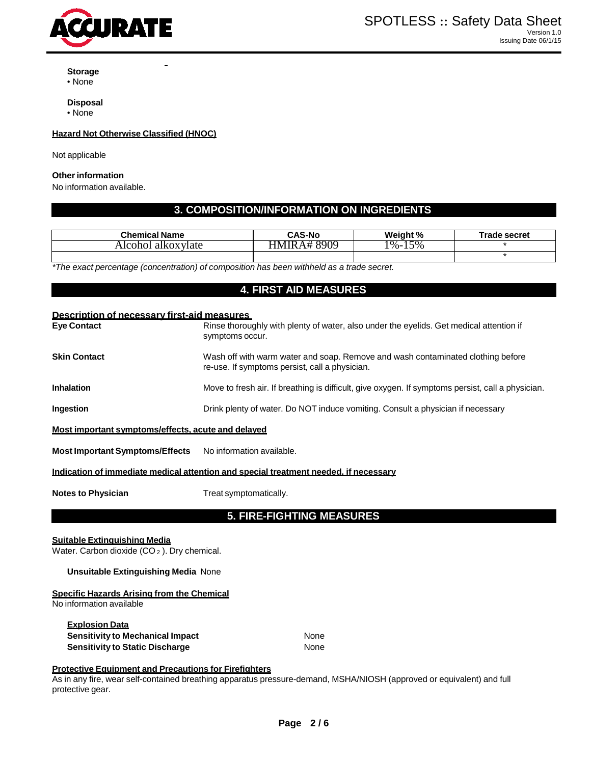

**Storage**

• None

**Disposal**

• None

#### **Hazard Not Otherwise Classified (HNOC)**

Not applicable

#### **Other information**

No information available.

# **3. COMPOSITION/INFORMATION ON INGREDIENTS**

| <b>Chemical Name</b>    | <b>CAS-No</b>                                  | Weight %              | <b>Trade secret</b> |
|-------------------------|------------------------------------------------|-----------------------|---------------------|
| alkoxylate<br>Alcohol - | $\delta$ 90 $\circ$<br>. I R<br>⊣ M'<br>$A \#$ | 5%<br>$\frac{9}{6}$ - |                     |
|                         |                                                |                       |                     |

*\*The exact percentage (concentration) of composition has been withheld as a trade secret.*

# **4. FIRST AID MEASURES**

#### **Description of necessary first-aid measures**

| <b>Eye Contact</b>                                 | Rinse thoroughly with plenty of water, also under the eyelids. Get medical attention if<br>symptoms occur.                        |
|----------------------------------------------------|-----------------------------------------------------------------------------------------------------------------------------------|
| <b>Skin Contact</b>                                | Wash off with warm water and soap. Remove and wash contaminated clothing before<br>re-use. If symptoms persist, call a physician. |
| <b>Inhalation</b>                                  | Move to fresh air. If breathing is difficult, give oxygen. If symptoms persist, call a physician.                                 |
| <b>Ingestion</b>                                   | Drink plenty of water. Do NOT induce vomiting. Consult a physician if necessary                                                   |
| Most important symptoms/effects, acute and delayed |                                                                                                                                   |

**Most Important Symptoms/Effects** No information available.

## **Indication of immediate medical attention and special treatment needed, if necessary**

**Notes to Physician** Treat symptomatically.

# **5. FIRE-FIGHTING MEASURES**

#### **Suitable Extinguishing Media**

Water. Carbon dioxide (CO<sub>2</sub>). Dry chemical.

#### **Unsuitable Extinguishing Media** None

## **Specific Hazards Arising from the Chemical**

No information available

| <b>Explosion Data</b>                  |      |
|----------------------------------------|------|
| Sensitivity to Mechanical Impact       | None |
| <b>Sensitivity to Static Discharge</b> | None |

#### **Protective Equipment and Precautions for Firefighters**

As in any fire, wear self-contained breathing apparatus pressure-demand, MSHA/NIOSH (approved or equivalent) and full protective gear.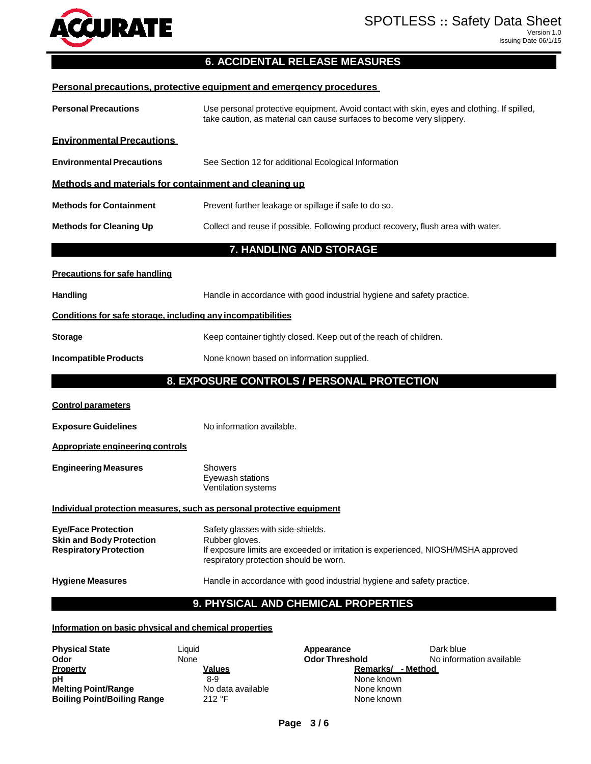

# **6. ACCIDENTAL RELEASE MEASURES**

| Personal precautions, protective equipment and emergency procedures                                                                          |                                                                                                                                                                                                      |  |  |  |  |  |
|----------------------------------------------------------------------------------------------------------------------------------------------|------------------------------------------------------------------------------------------------------------------------------------------------------------------------------------------------------|--|--|--|--|--|
| <b>Personal Precautions</b>                                                                                                                  | Use personal protective equipment. Avoid contact with skin, eyes and clothing. If spilled,<br>take caution, as material can cause surfaces to become very slippery.                                  |  |  |  |  |  |
| <b>Environmental Precautions</b>                                                                                                             |                                                                                                                                                                                                      |  |  |  |  |  |
| <b>Environmental Precautions</b><br>See Section 12 for additional Ecological Information                                                     |                                                                                                                                                                                                      |  |  |  |  |  |
| Methods and materials for containment and cleaning up                                                                                        |                                                                                                                                                                                                      |  |  |  |  |  |
| <b>Methods for Containment</b>                                                                                                               | Prevent further leakage or spillage if safe to do so.                                                                                                                                                |  |  |  |  |  |
| <b>Methods for Cleaning Up</b>                                                                                                               | Collect and reuse if possible. Following product recovery, flush area with water.                                                                                                                    |  |  |  |  |  |
|                                                                                                                                              | 7. HANDLING AND STORAGE                                                                                                                                                                              |  |  |  |  |  |
| <b>Precautions for safe handling</b>                                                                                                         |                                                                                                                                                                                                      |  |  |  |  |  |
| <b>Handling</b>                                                                                                                              | Handle in accordance with good industrial hygiene and safety practice.                                                                                                                               |  |  |  |  |  |
| Conditions for safe storage, including any incompatibilities                                                                                 |                                                                                                                                                                                                      |  |  |  |  |  |
| <b>Storage</b>                                                                                                                               | Keep container tightly closed. Keep out of the reach of children.                                                                                                                                    |  |  |  |  |  |
| <b>Incompatible Products</b>                                                                                                                 | None known based on information supplied.                                                                                                                                                            |  |  |  |  |  |
|                                                                                                                                              | 8. EXPOSURE CONTROLS / PERSONAL PROTECTION                                                                                                                                                           |  |  |  |  |  |
| <b>Control parameters</b>                                                                                                                    |                                                                                                                                                                                                      |  |  |  |  |  |
| <b>Exposure Guidelines</b>                                                                                                                   | No information available.                                                                                                                                                                            |  |  |  |  |  |
| Appropriate engineering controls                                                                                                             |                                                                                                                                                                                                      |  |  |  |  |  |
| <b>Engineering Measures</b>                                                                                                                  | <b>Showers</b><br>Eyewash stations<br>Ventilation systems                                                                                                                                            |  |  |  |  |  |
| Individual protection measures, such as personal protective equipment                                                                        |                                                                                                                                                                                                      |  |  |  |  |  |
| <b>Eye/Face Protection</b><br><b>Skin and Body Protection</b><br><b>Respiratory Protection</b>                                               | Safety glasses with side-shields.<br>Rubber gloves.<br>If exposure limits are exceeded or irritation is experienced, NIOSH/MSHA approved<br>respiratory protection should be worn.                   |  |  |  |  |  |
| <b>Hygiene Measures</b>                                                                                                                      | Handle in accordance with good industrial hygiene and safety practice.                                                                                                                               |  |  |  |  |  |
|                                                                                                                                              | 9. PHYSICAL AND CHEMICAL PROPERTIES                                                                                                                                                                  |  |  |  |  |  |
| Information on basic physical and chemical properties                                                                                        |                                                                                                                                                                                                      |  |  |  |  |  |
| <b>Physical State</b><br>Liquid<br>Odor<br>None<br><b>Property</b><br>рH<br><b>Melting Point/Range</b><br><b>Boiling Point/Boiling Range</b> | Dark blue<br>Appearance<br><b>Odor Threshold</b><br>No information available<br>Remarks/ - Method<br><u>Values</u><br>$8-9$<br>None known<br>No data available<br>None known<br>212 °F<br>None known |  |  |  |  |  |

 $\overline{\phantom{a}}$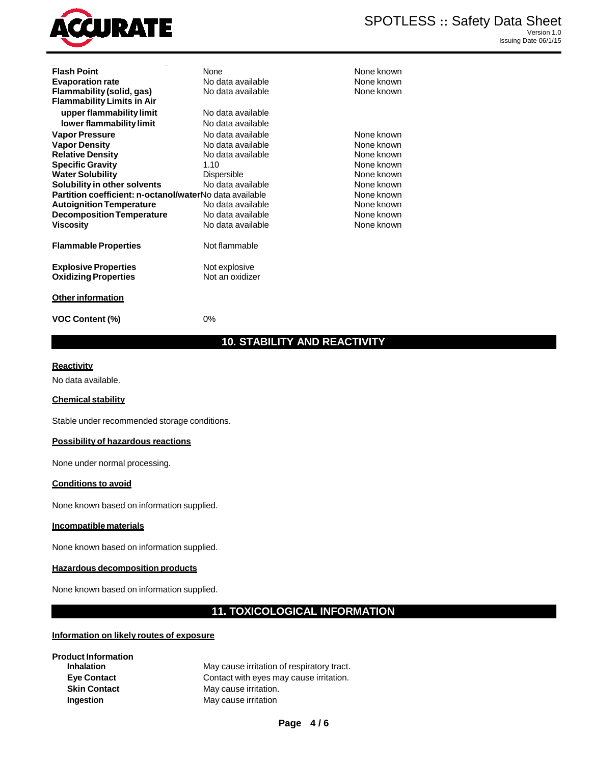

| <b>Flash Point</b>                                      | None              | None known |
|---------------------------------------------------------|-------------------|------------|
|                                                         | No data available | None known |
| <b>Evaporation rate</b>                                 | No data available | None known |
| Flammability (solid, gas)                               |                   |            |
| <b>Flammability Limits in Air</b>                       |                   |            |
| upper flammability limit                                | No data available |            |
| lower flammability limit                                | No data available |            |
| <b>Vapor Pressure</b>                                   | No data available | None known |
| <b>Vapor Density</b>                                    | No data available | None known |
| <b>Relative Density</b>                                 | No data available | None known |
| <b>Specific Gravity</b>                                 | 1.10              | None known |
| <b>Water Solubility</b>                                 | Dispersible       | None known |
| Solubility in other solvents                            | No data available | None known |
| Partition coefficient: n-octanol/waterNo data available |                   | None known |
| <b>Autoignition Temperature</b>                         | No data available | None known |
| <b>Decomposition Temperature</b>                        | No data available | None known |
| <b>Viscosity</b>                                        | No data available | None known |
| <b>Flammable Properties</b>                             | Not flammable     |            |
| <b>Explosive Properties</b>                             | Not explosive     |            |
| <b>Oxidizing Properties</b>                             | Not an oxidizer   |            |
| <b>Other information</b>                                |                   |            |

**None known None known None known None known None known None known None known None known None known** 

**VOC Content (%)** 0%

# **10. STABILITY AND REACTIVITY**

#### **Reactivity**

No data available.

#### **Chemical stability**

Stable under recommended storage conditions.

#### **Possibility of hazardous reactions**

None under normal processing.

#### **Conditions to avoid**

None known based on information supplied.

## **Incompatible materials**

None known based on information supplied.

## **Hazardous decomposition products**

None known based on information supplied.

# **11. TOXICOLOGICAL INFORMATION**

#### **Information on likely routes of exposure**

**Product Information**

**Inhalation** May cause irritation of respiratory tract. **Eye Contact Contact** Contact with eyes may cause irritation. **Skin Contact** May cause irritation. **Ingestion** May cause irritation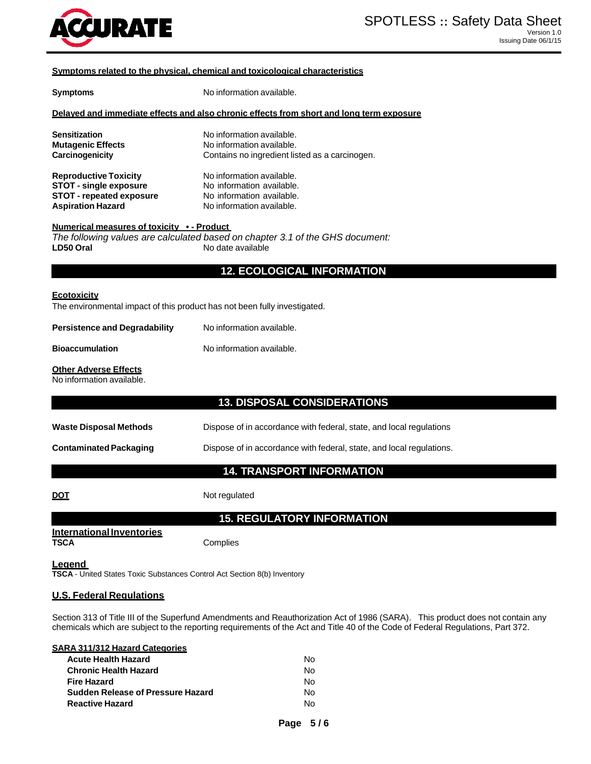

#### **Symptoms related to the physical, chemical and toxicological characteristics**

| <b>Symptoms</b>                                                                                                              | No information available.                                                                                        |  |  |  |  |
|------------------------------------------------------------------------------------------------------------------------------|------------------------------------------------------------------------------------------------------------------|--|--|--|--|
| Delayed and immediate effects and also chronic effects from short and long term exposure                                     |                                                                                                                  |  |  |  |  |
| Sensitization<br><b>Mutagenic Effects</b><br><b>Carcinogenicity</b>                                                          | No information available.<br>No information available.<br>Contains no ingredient listed as a carcinogen.         |  |  |  |  |
| <b>Reproductive Toxicity</b><br><b>STOT - single exposure</b><br><b>STOT - repeated exposure</b><br><b>Aspiration Hazard</b> | No information available.<br>No information available.<br>No information available.<br>No information available. |  |  |  |  |
| <u>Numerical measures of toxicity •- Product</u><br>LD50 Oral                                                                | The following values are calculated based on chapter 3.1 of the GHS document:<br>No date available               |  |  |  |  |
|                                                                                                                              | <b>12. ECOLOGICAL INFORMATION</b>                                                                                |  |  |  |  |
| <u>Ecotoxicity</u><br>The environmental impact of this product has not been fully investigated.                              |                                                                                                                  |  |  |  |  |
| <b>Persistence and Degradability</b>                                                                                         | No information available.                                                                                        |  |  |  |  |
| <b>Bioaccumulation</b>                                                                                                       | No information available.                                                                                        |  |  |  |  |
| <b>Other Adverse Effects</b><br>No information available.                                                                    |                                                                                                                  |  |  |  |  |
|                                                                                                                              | <b>13. DISPOSAL CONSIDERATIONS</b>                                                                               |  |  |  |  |
| <b>Waste Disposal Methods</b>                                                                                                | Dispose of in accordance with federal, state, and local regulations                                              |  |  |  |  |
| <b>Contaminated Packaging</b>                                                                                                | Dispose of in accordance with federal, state, and local regulations.                                             |  |  |  |  |
|                                                                                                                              | <b>14. TRANSPORT INFORMATION</b>                                                                                 |  |  |  |  |
| <u>DOT</u>                                                                                                                   | Not regulated                                                                                                    |  |  |  |  |
|                                                                                                                              | <b>15. REGULATORY INFORMATION</b>                                                                                |  |  |  |  |
| <b>International Inventories</b><br><b>TSCA</b>                                                                              | Complies                                                                                                         |  |  |  |  |
| <u>Leaend</u><br>TSCA - United States Toxic Substances Control Act Section 8(b) Inventory                                    |                                                                                                                  |  |  |  |  |
| <b>U.S. Federal Requiations</b>                                                                                              |                                                                                                                  |  |  |  |  |

Section 313 of Title III of the Superfund Amendments and Reauthorization Act of 1986 (SARA). This product does not contain any chemicals which are subject to the reporting requirements of the Act and Title 40 of the Code of Federal Regulations, Part 372.

| <b>SARA 311/312 Hazard Categories</b> |    |
|---------------------------------------|----|
| <b>Acute Health Hazard</b>            | N٥ |
| <b>Chronic Health Hazard</b>          | Nο |
| <b>Fire Hazard</b>                    | Nο |
| Sudden Release of Pressure Hazard     | N٥ |
| <b>Reactive Hazard</b>                | N٥ |